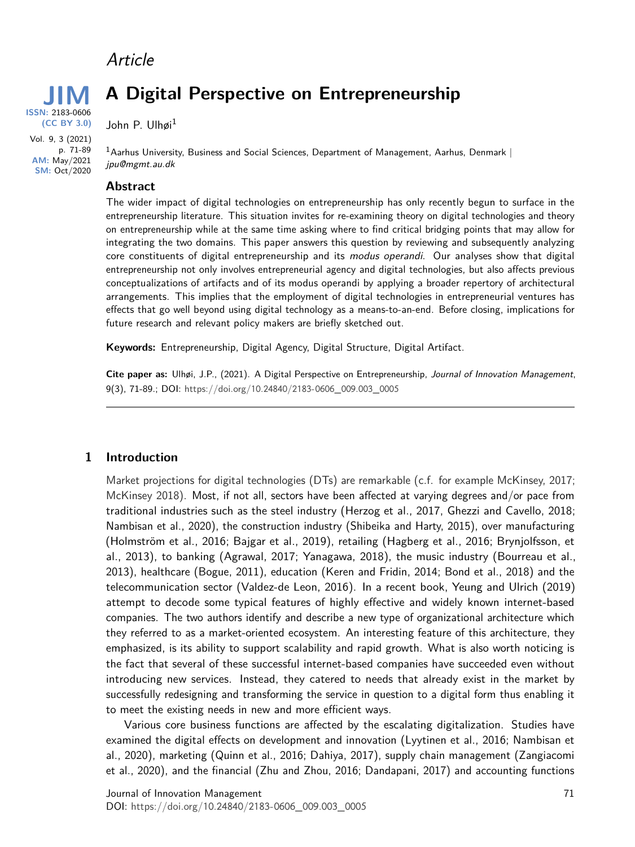# Article

**JIM**<br> **ISSN:** 2183-0606 **(CC BY 3.0)** Vol. 9, 3 (2021) p. 71-89

> **AM:** May/2021 **SM:** Oct/2020

**A Digital Perspective on Entrepreneurship**

John P. Ulhøi<sup>1</sup>

 $1A$ arhus University, Business and Social Sciences, Department of Management, Aarhus, Denmark | jpu@mgmt.au.dk

#### **Abstract**

The wider impact of digital technologies on entrepreneurship has only recently begun to surface in the entrepreneurship literature. This situation invites for re-examining theory on digital technologies and theory on entrepreneurship while at the same time asking where to find critical bridging points that may allow for integrating the two domains. This paper answers this question by reviewing and subsequently analyzing core constituents of digital entrepreneurship and its modus operandi. Our analyses show that digital entrepreneurship not only involves entrepreneurial agency and digital technologies, but also affects previous conceptualizations of artifacts and of its modus operandi by applying a broader repertory of architectural arrangements. This implies that the employment of digital technologies in entrepreneurial ventures has effects that go well beyond using digital technology as a means-to-an-end. Before closing, implications for future research and relevant policy makers are briefly sketched out.

**Keywords:** Entrepreneurship, Digital Agency, Digital Structure, Digital Artifact.

**Cite paper as:** Ulhøi, J.P., (2021). A Digital Perspective on Entrepreneurship, Journal of Innovation Management, 9(3), 71-89.; DOI: [https://doi.org/](https://doi.org/10.24840/2183-0606_009.003_0005)10.24840/2183-0606\_009.003\_0005

#### **1 Introduction**

Market projections for digital technologies (DTs) are remarkable (c.f. for example McKinsey, 2017; McKinsey 2018). Most, if not all, sectors have been affected at varying degrees and/or pace from traditional industries such as the steel industry (Herzog et al., 2017, Ghezzi and Cavello, 2018; Nambisan et al., 2020), the construction industry (Shibeika and Harty, 2015), over manufacturing (Holmström et al., 2016; Bajgar et al., 2019), retailing (Hagberg et al., 2016; Brynjolfsson, et al., 2013), to banking (Agrawal, 2017; Yanagawa, 2018), the music industry (Bourreau et al., 2013), healthcare (Bogue, 2011), education (Keren and Fridin, 2014; Bond et al., 2018) and the telecommunication sector (Valdez-de Leon, 2016). In a recent book, Yeung and Ulrich (2019) attempt to decode some typical features of highly effective and widely known internet-based companies. The two authors identify and describe a new type of organizational architecture which they referred to as a market-oriented ecosystem. An interesting feature of this architecture, they emphasized, is its ability to support scalability and rapid growth. What is also worth noticing is the fact that several of these successful internet-based companies have succeeded even without introducing new services. Instead, they catered to needs that already exist in the market by successfully redesigning and transforming the service in question to a digital form thus enabling it to meet the existing needs in new and more efficient ways.

Various core business functions are affected by the escalating digitalization. Studies have examined the digital effects on development and innovation (Lyytinen et al., 2016; Nambisan et al., 2020), marketing (Quinn et al., 2016; Dahiya, 2017), supply chain management (Zangiacomi et al., 2020), and the financial (Zhu and Zhou, 2016; Dandapani, 2017) and accounting functions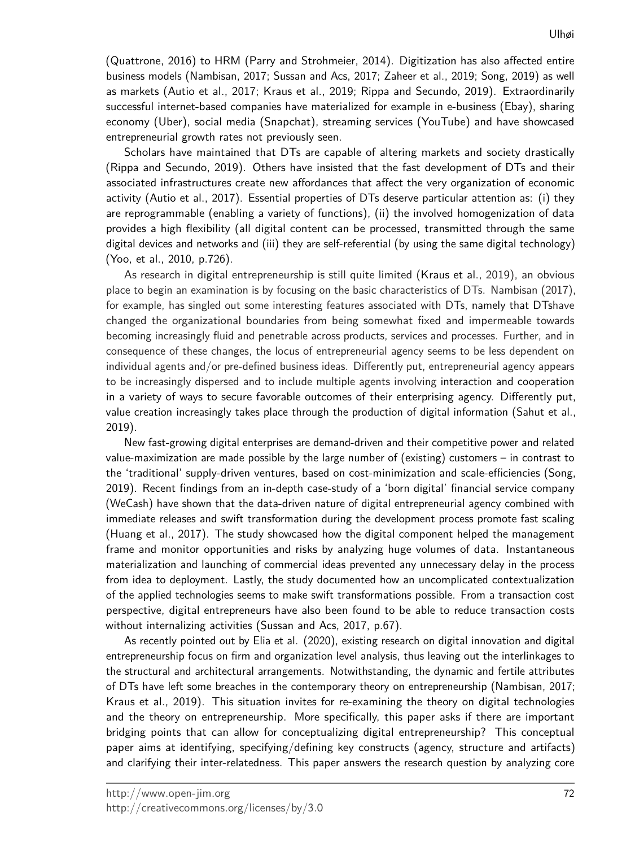(Quattrone, 2016) to HRM (Parry and Strohmeier, 2014). Digitization has also affected entire business models (Nambisan, 2017; Sussan and Acs, 2017; Zaheer et al., 2019; Song, 2019) as well as markets (Autio et al., 2017; Kraus et al., 2019; Rippa and Secundo, 2019). Extraordinarily successful internet-based companies have materialized for example in e-business (Ebay), sharing economy (Uber), social media (Snapchat), streaming services (YouTube) and have showcased entrepreneurial growth rates not previously seen.

Scholars have maintained that DTs are capable of altering markets and society drastically (Rippa and Secundo, 2019). Others have insisted that the fast development of DTs and their associated infrastructures create new affordances that affect the very organization of economic activity (Autio et al., 2017). Essential properties of DTs deserve particular attention as: (i) they are reprogrammable (enabling a variety of functions), (ii) the involved homogenization of data provides a high flexibility (all digital content can be processed, transmitted through the same digital devices and networks and (iii) they are self-referential (by using the same digital technology) (Yoo, et al., 2010, p.726).

As research in digital entrepreneurship is still quite limited (Kraus et al., 2019), an obvious place to begin an examination is by focusing on the basic characteristics of DTs. Nambisan (2017), for example, has singled out some interesting features associated with DTs, namely that DTshave changed the organizational boundaries from being somewhat fixed and impermeable towards becoming increasingly fluid and penetrable across products, services and processes. Further, and in consequence of these changes, the locus of entrepreneurial agency seems to be less dependent on individual agents and/or pre-defined business ideas. Differently put, entrepreneurial agency appears to be increasingly dispersed and to include multiple agents involving interaction and cooperation in a variety of ways to secure favorable outcomes of their enterprising agency. Differently put, value creation increasingly takes place through the production of digital information (Sahut et al., 2019).

New fast-growing digital enterprises are demand-driven and their competitive power and related value-maximization are made possible by the large number of (existing) customers – in contrast to the 'traditional' supply-driven ventures, based on cost-minimization and scale-efficiencies (Song, 2019). Recent findings from an in-depth case-study of a 'born digital' financial service company (WeCash) have shown that the data-driven nature of digital entrepreneurial agency combined with immediate releases and swift transformation during the development process promote fast scaling (Huang et al., 2017). The study showcased how the digital component helped the management frame and monitor opportunities and risks by analyzing huge volumes of data. Instantaneous materialization and launching of commercial ideas prevented any unnecessary delay in the process from idea to deployment. Lastly, the study documented how an uncomplicated contextualization of the applied technologies seems to make swift transformations possible. From a transaction cost perspective, digital entrepreneurs have also been found to be able to reduce transaction costs without internalizing activities (Sussan and Acs, 2017, p.67).

As recently pointed out by Elia et al. (2020), existing research on digital innovation and digital entrepreneurship focus on firm and organization level analysis, thus leaving out the interlinkages to the structural and architectural arrangements. Notwithstanding, the dynamic and fertile attributes of DTs have left some breaches in the contemporary theory on entrepreneurship (Nambisan, 2017; Kraus et al., 2019). This situation invites for re-examining the theory on digital technologies and the theory on entrepreneurship. More specifically, this paper asks if there are important bridging points that can allow for conceptualizing digital entrepreneurship? This conceptual paper aims at identifying, specifying/defining key constructs (agency, structure and artifacts) and clarifying their inter-relatedness. This paper answers the research question by analyzing core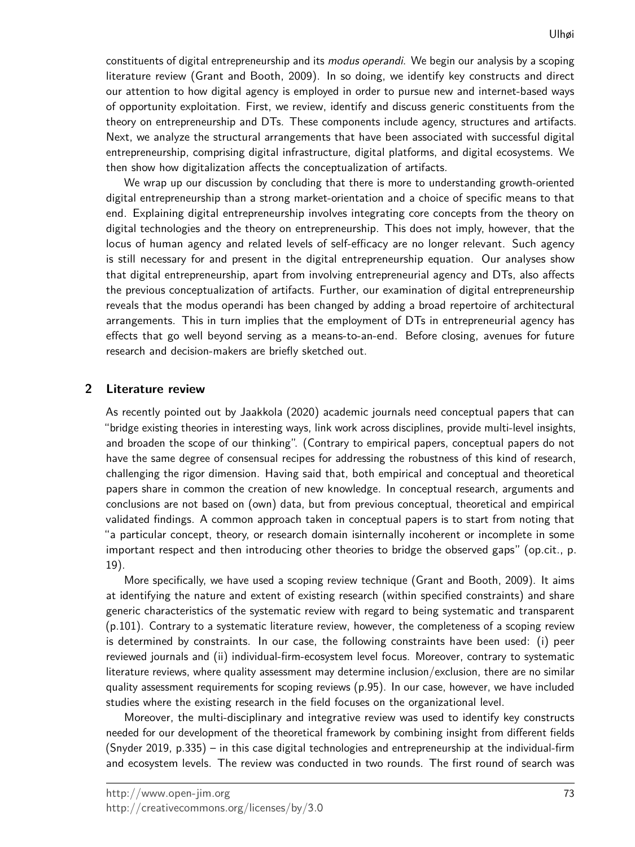constituents of digital entrepreneurship and its *modus operandi*. We begin our analysis by a scoping literature review (Grant and Booth, 2009). In so doing, we identify key constructs and direct our attention to how digital agency is employed in order to pursue new and internet-based ways of opportunity exploitation. First, we review, identify and discuss generic constituents from the theory on entrepreneurship and DTs. These components include agency, structures and artifacts. Next, we analyze the structural arrangements that have been associated with successful digital entrepreneurship, comprising digital infrastructure, digital platforms, and digital ecosystems. We then show how digitalization affects the conceptualization of artifacts.

We wrap up our discussion by concluding that there is more to understanding growth-oriented digital entrepreneurship than a strong market-orientation and a choice of specific means to that end. Explaining digital entrepreneurship involves integrating core concepts from the theory on digital technologies and the theory on entrepreneurship. This does not imply, however, that the locus of human agency and related levels of self-efficacy are no longer relevant. Such agency is still necessary for and present in the digital entrepreneurship equation. Our analyses show that digital entrepreneurship, apart from involving entrepreneurial agency and DTs, also affects the previous conceptualization of artifacts. Further, our examination of digital entrepreneurship reveals that the modus operandi has been changed by adding a broad repertoire of architectural arrangements. This in turn implies that the employment of DTs in entrepreneurial agency has effects that go well beyond serving as a means-to-an-end. Before closing, avenues for future research and decision-makers are briefly sketched out.

# **2 Literature review**

As recently pointed out by Jaakkola (2020) academic journals need conceptual papers that can "bridge existing theories in interesting ways, link work across disciplines, provide multi-level insights, and broaden the scope of our thinking". (Contrary to empirical papers, conceptual papers do not have the same degree of consensual recipes for addressing the robustness of this kind of research, challenging the rigor dimension. Having said that, both empirical and conceptual and theoretical papers share in common the creation of new knowledge. In conceptual research, arguments and conclusions are not based on (own) data, but from previous conceptual, theoretical and empirical validated findings. A common approach taken in conceptual papers is to start from noting that "a particular concept, theory, or research domain isinternally incoherent or incomplete in some important respect and then introducing other theories to bridge the observed gaps" (op.cit., p. 19).

More specifically, we have used a scoping review technique (Grant and Booth, 2009). It aims at identifying the nature and extent of existing research (within specified constraints) and share generic characteristics of the systematic review with regard to being systematic and transparent (p.101). Contrary to a systematic literature review, however, the completeness of a scoping review is determined by constraints. In our case, the following constraints have been used: (i) peer reviewed journals and (ii) individual-firm-ecosystem level focus. Moreover, contrary to systematic literature reviews, where quality assessment may determine inclusion/exclusion, there are no similar quality assessment requirements for scoping reviews (p.95). In our case, however, we have included studies where the existing research in the field focuses on the organizational level.

Moreover, the multi-disciplinary and integrative review was used to identify key constructs needed for our development of the theoretical framework by combining insight from different fields (Snyder 2019, p.335) – in this case digital technologies and entrepreneurship at the individual-firm and ecosystem levels. The review was conducted in two rounds. The first round of search was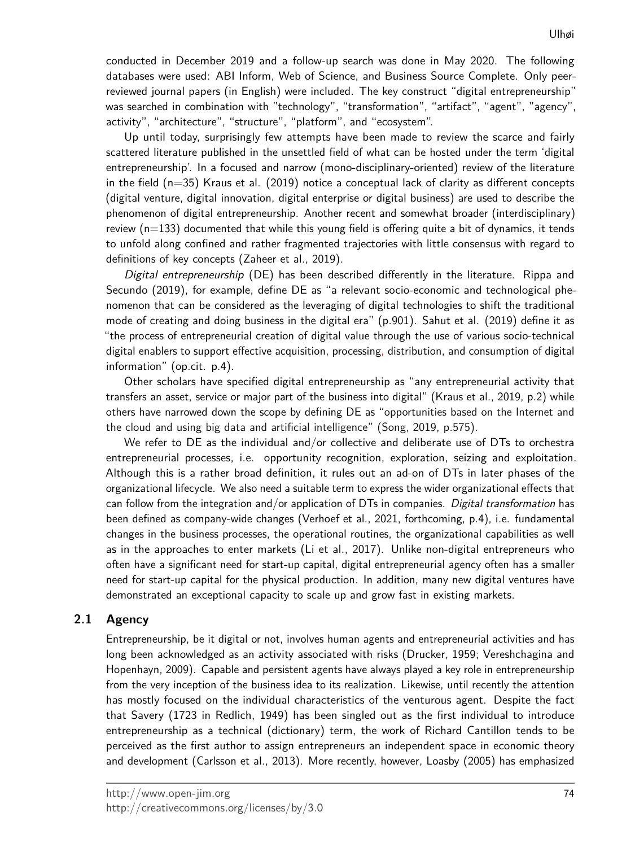conducted in December 2019 and a follow-up search was done in May 2020. The following databases were used: ABI Inform, Web of Science, and Business Source Complete. Only peerreviewed journal papers (in English) were included. The key construct "digital entrepreneurship" was searched in combination with "technology", "transformation", "artifact", "agent", "agency", activity", "architecture", "structure", "platform", and "ecosystem".

Up until today, surprisingly few attempts have been made to review the scarce and fairly scattered literature published in the unsettled field of what can be hosted under the term 'digital entrepreneurship'. In a focused and narrow (mono-disciplinary-oriented) review of the literature in the field (n=35) Kraus et al. (2019) notice a conceptual lack of clarity as different concepts (digital venture, digital innovation, digital enterprise or digital business) are used to describe the phenomenon of digital entrepreneurship. Another recent and somewhat broader (interdisciplinary) review  $(n=133)$  documented that while this young field is offering quite a bit of dynamics, it tends to unfold along confined and rather fragmented trajectories with little consensus with regard to definitions of key concepts (Zaheer et al., 2019).

Digital entrepreneurship (DE) has been described differently in the literature. Rippa and Secundo (2019), for example, define DE as "a relevant socio-economic and technological phenomenon that can be considered as the leveraging of digital technologies to shift the traditional mode of creating and doing business in the digital era" (p.901). Sahut et al. (2019) define it as "the process of entrepreneurial creation of digital value through the use of various socio-technical digital enablers to support effective acquisition, processing, distribution, and consumption of digital information" (op.cit. p.4).

Other scholars have specified digital entrepreneurship as "any entrepreneurial activity that transfers an asset, service or major part of the business into digital" (Kraus et al., 2019, p.2) while others have narrowed down the scope by defining DE as "opportunities based on the Internet and the cloud and using big data and artificial intelligence" (Song, 2019, p.575).

We refer to DE as the individual and/or collective and deliberate use of DTs to orchestra entrepreneurial processes, i.e. opportunity recognition, exploration, seizing and exploitation. Although this is a rather broad definition, it rules out an ad-on of DTs in later phases of the organizational lifecycle. We also need a suitable term to express the wider organizational effects that can follow from the integration and/or application of DTs in companies. Digital transformation has been defined as company-wide changes (Verhoef et al., 2021, forthcoming, p.4), i.e. fundamental changes in the business processes, the operational routines, the organizational capabilities as well as in the approaches to enter markets (Li et al., 2017). Unlike non-digital entrepreneurs who often have a significant need for start-up capital, digital entrepreneurial agency often has a smaller need for start-up capital for the physical production. In addition, many new digital ventures have demonstrated an exceptional capacity to scale up and grow fast in existing markets.

# **2.1 Agency**

Entrepreneurship, be it digital or not, involves human agents and entrepreneurial activities and has long been acknowledged as an activity associated with risks (Drucker, 1959; Vereshchagina and Hopenhayn, 2009). Capable and persistent agents have always played a key role in entrepreneurship from the very inception of the business idea to its realization. Likewise, until recently the attention has mostly focused on the individual characteristics of the venturous agent. Despite the fact that Savery (1723 in Redlich, 1949) has been singled out as the first individual to introduce entrepreneurship as a technical (dictionary) term, the work of Richard Cantillon tends to be perceived as the first author to assign entrepreneurs an independent space in economic theory and development (Carlsson et al., 2013). More recently, however, Loasby (2005) has emphasized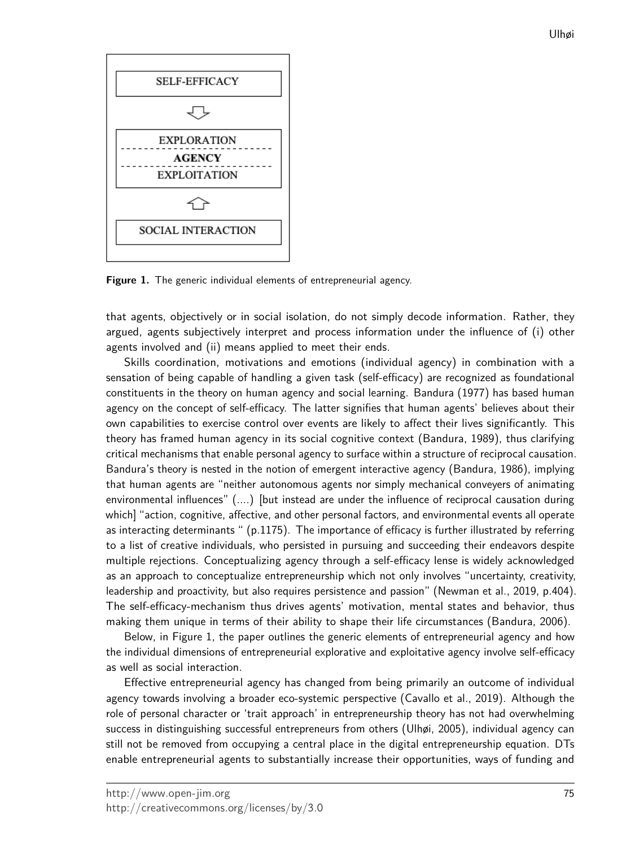

**Figure 1.** The generic individual elements of entrepreneurial agency.

that agents, objectively or in social isolation, do not simply decode information. Rather, they argued, agents subjectively interpret and process information under the influence of (i) other agents involved and (ii) means applied to meet their ends.

Skills coordination, motivations and emotions (individual agency) in combination with a sensation of being capable of handling a given task (self-efficacy) are recognized as foundational constituents in the theory on human agency and social learning. Bandura (1977) has based human agency on the concept of self-efficacy. The latter signifies that human agents' believes about their own capabilities to exercise control over events are likely to affect their lives significantly. This theory has framed human agency in its social cognitive context (Bandura, 1989), thus clarifying critical mechanisms that enable personal agency to surface within a structure of reciprocal causation. Bandura's theory is nested in the notion of emergent interactive agency (Bandura, 1986), implying that human agents are "neither autonomous agents nor simply mechanical conveyers of animating environmental influences" (....) [but instead are under the influence of reciprocal causation during which] "action, cognitive, affective, and other personal factors, and environmental events all operate as interacting determinants " (p.1175). The importance of efficacy is further illustrated by referring to a list of creative individuals, who persisted in pursuing and succeeding their endeavors despite multiple rejections. Conceptualizing agency through a self-efficacy lense is widely acknowledged as an approach to conceptualize entrepreneurship which not only involves "uncertainty, creativity, leadership and proactivity, but also requires persistence and passion" (Newman et al., 2019, p.404). The self-efficacy-mechanism thus drives agents' motivation, mental states and behavior, thus making them unique in terms of their ability to shape their life circumstances (Bandura, 2006).

Below, in Figure 1, the paper outlines the generic elements of entrepreneurial agency and how the individual dimensions of entrepreneurial explorative and exploitative agency involve self-efficacy as well as social interaction.

Effective entrepreneurial agency has changed from being primarily an outcome of individual agency towards involving a broader eco-systemic perspective (Cavallo et al., 2019). Although the role of personal character or 'trait approach' in entrepreneurship theory has not had overwhelming success in distinguishing successful entrepreneurs from others (Ulhøi, 2005), individual agency can still not be removed from occupying a central place in the digital entrepreneurship equation. DTs enable entrepreneurial agents to substantially increase their opportunities, ways of funding and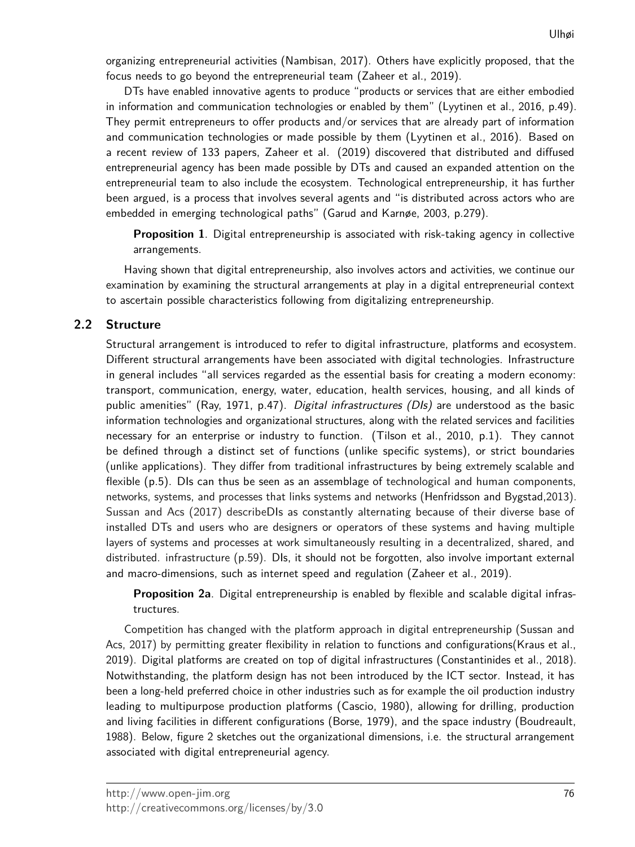organizing entrepreneurial activities (Nambisan, 2017). Others have explicitly proposed, that the focus needs to go beyond the entrepreneurial team (Zaheer et al., 2019).

DTs have enabled innovative agents to produce "products or services that are either embodied in information and communication technologies or enabled by them" (Lyytinen et al., 2016, p.49). They permit entrepreneurs to offer products and/or services that are already part of information and communication technologies or made possible by them (Lyytinen et al., 2016). Based on a recent review of 133 papers, Zaheer et al. (2019) discovered that distributed and diffused entrepreneurial agency has been made possible by DTs and caused an expanded attention on the entrepreneurial team to also include the ecosystem. Technological entrepreneurship, it has further been argued, is a process that involves several agents and "is distributed across actors who are embedded in emerging technological paths" (Garud and Karnøe, 2003, p.279).

**Proposition 1**. Digital entrepreneurship is associated with risk-taking agency in collective arrangements.

Having shown that digital entrepreneurship, also involves actors and activities, we continue our examination by examining the structural arrangements at play in a digital entrepreneurial context to ascertain possible characteristics following from digitalizing entrepreneurship.

## **2.2 Structure**

Structural arrangement is introduced to refer to digital infrastructure, platforms and ecosystem. Different structural arrangements have been associated with digital technologies. Infrastructure in general includes "all services regarded as the essential basis for creating a modern economy: transport, communication, energy, water, education, health services, housing, and all kinds of public amenities" (Ray, 1971, p.47). Digital infrastructures (DIs) are understood as the basic information technologies and organizational structures, along with the related services and facilities necessary for an enterprise or industry to function. (Tilson et al., 2010, p.1). They cannot be defined through a distinct set of functions (unlike specific systems), or strict boundaries (unlike applications). They differ from traditional infrastructures by being extremely scalable and flexible (p.5). Dls can thus be seen as an assemblage of technological and human components, networks, systems, and processes that links systems and networks (Henfridsson and Bygstad,2013). Sussan and Acs (2017) describeDIs as constantly alternating because of their diverse base of installed DTs and users who are designers or operators of these systems and having multiple layers of systems and processes at work simultaneously resulting in a decentralized, shared, and distributed. infrastructure (p.59). DIs, it should not be forgotten, also involve important external and macro-dimensions, such as internet speed and regulation (Zaheer et al., 2019).

**Proposition 2a**. Digital entrepreneurship is enabled by flexible and scalable digital infrastructures.

Competition has changed with the platform approach in digital entrepreneurship (Sussan and Acs, 2017) by permitting greater flexibility in relation to functions and configurations(Kraus et al., 2019). Digital platforms are created on top of digital infrastructures (Constantinides et al., 2018). Notwithstanding, the platform design has not been introduced by the ICT sector. Instead, it has been a long-held preferred choice in other industries such as for example the oil production industry leading to multipurpose production platforms (Cascio, 1980), allowing for drilling, production and living facilities in different configurations (Borse, 1979), and the space industry (Boudreault, 1988). Below, figure 2 sketches out the organizational dimensions, i.e. the structural arrangement associated with digital entrepreneurial agency.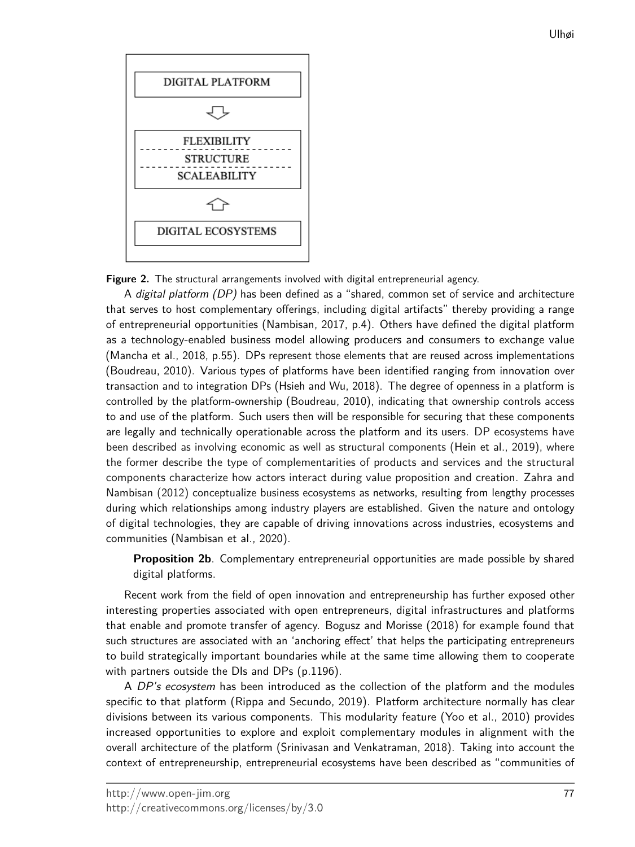

**Figure 2.** The structural arrangements involved with digital entrepreneurial agency.

A digital platform (DP) has been defined as a "shared, common set of service and architecture that serves to host complementary offerings, including digital artifacts" thereby providing a range of entrepreneurial opportunities (Nambisan, 2017, p.4). Others have defined the digital platform as a technology-enabled business model allowing producers and consumers to exchange value (Mancha et al., 2018, p.55). DPs represent those elements that are reused across implementations (Boudreau, 2010). Various types of platforms have been identified ranging from innovation over transaction and to integration DPs (Hsieh and Wu, 2018). The degree of openness in a platform is controlled by the platform-ownership (Boudreau, 2010), indicating that ownership controls access to and use of the platform. Such users then will be responsible for securing that these components are legally and technically operationable across the platform and its users. DP ecosystems have been described as involving economic as well as structural components (Hein et al., 2019), where the former describe the type of complementarities of products and services and the structural components characterize how actors interact during value proposition and creation. Zahra and Nambisan (2012) conceptualize business ecosystems as networks, resulting from lengthy processes during which relationships among industry players are established. Given the nature and ontology of digital technologies, they are capable of driving innovations across industries, ecosystems and communities (Nambisan et al., 2020).

**Proposition 2b**. Complementary entrepreneurial opportunities are made possible by shared digital platforms.

Recent work from the field of open innovation and entrepreneurship has further exposed other interesting properties associated with open entrepreneurs, digital infrastructures and platforms that enable and promote transfer of agency. Bogusz and Morisse (2018) for example found that such structures are associated with an 'anchoring effect' that helps the participating entrepreneurs to build strategically important boundaries while at the same time allowing them to cooperate with partners outside the DIs and DPs (p.1196).

A DP's ecosystem has been introduced as the collection of the platform and the modules specific to that platform (Rippa and Secundo, 2019). Platform architecture normally has clear divisions between its various components. This modularity feature (Yoo et al., 2010) provides increased opportunities to explore and exploit complementary modules in alignment with the overall architecture of the platform (Srinivasan and Venkatraman, 2018). Taking into account the context of entrepreneurship, entrepreneurial ecosystems have been described as "communities of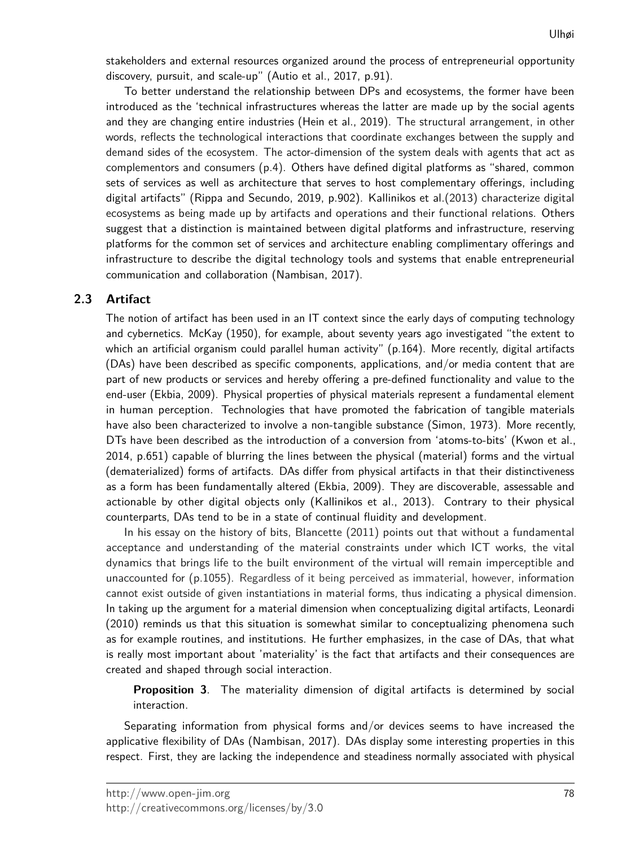stakeholders and external resources organized around the process of entrepreneurial opportunity discovery, pursuit, and scale-up" (Autio et al., 2017, p.91).

To better understand the relationship between DPs and ecosystems, the former have been introduced as the 'technical infrastructures whereas the latter are made up by the social agents and they are changing entire industries (Hein et al., 2019). The structural arrangement, in other words, reflects the technological interactions that coordinate exchanges between the supply and demand sides of the ecosystem. The actor-dimension of the system deals with agents that act as complementors and consumers (p.4). Others have defined digital platforms as "shared, common sets of services as well as architecture that serves to host complementary offerings, including digital artifacts" (Rippa and Secundo, 2019, p.902). Kallinikos et al.(2013) characterize digital ecosystems as being made up by artifacts and operations and their functional relations. Others suggest that a distinction is maintained between digital platforms and infrastructure, reserving platforms for the common set of services and architecture enabling complimentary offerings and infrastructure to describe the digital technology tools and systems that enable entrepreneurial communication and collaboration (Nambisan, 2017).

# **2.3 Artifact**

The notion of artifact has been used in an IT context since the early days of computing technology and cybernetics. McKay (1950), for example, about seventy years ago investigated "the extent to which an artificial organism could parallel human activity" (p.164). More recently, digital artifacts (DAs) have been described as specific components, applications, and/or media content that are part of new products or services and hereby offering a pre-defined functionality and value to the end-user (Ekbia, 2009). Physical properties of physical materials represent a fundamental element in human perception. Technologies that have promoted the fabrication of tangible materials have also been characterized to involve a non-tangible substance (Simon, 1973). More recently, DTs have been described as the introduction of a conversion from 'atoms-to-bits' (Kwon et al., 2014, p.651) capable of blurring the lines between the physical (material) forms and the virtual (dematerialized) forms of artifacts. DAs differ from physical artifacts in that their distinctiveness as a form has been fundamentally altered (Ekbia, 2009). They are discoverable, assessable and actionable by other digital objects only (Kallinikos et al., 2013). Contrary to their physical counterparts, DAs tend to be in a state of continual fluidity and development.

In his essay on the history of bits, Blancette (2011) points out that without a fundamental acceptance and understanding of the material constraints under which ICT works, the vital dynamics that brings life to the built environment of the virtual will remain imperceptible and unaccounted for (p.1055). Regardless of it being perceived as immaterial, however, information cannot exist outside of given instantiations in material forms, thus indicating a physical dimension. In taking up the argument for a material dimension when conceptualizing digital artifacts, Leonardi (2010) reminds us that this situation is somewhat similar to conceptualizing phenomena such as for example routines, and institutions. He further emphasizes, in the case of DAs, that what is really most important about 'materiality' is the fact that artifacts and their consequences are created and shaped through social interaction.

**Proposition 3**. The materiality dimension of digital artifacts is determined by social interaction.

Separating information from physical forms and/or devices seems to have increased the applicative flexibility of DAs (Nambisan, 2017). DAs display some interesting properties in this respect. First, they are lacking the independence and steadiness normally associated with physical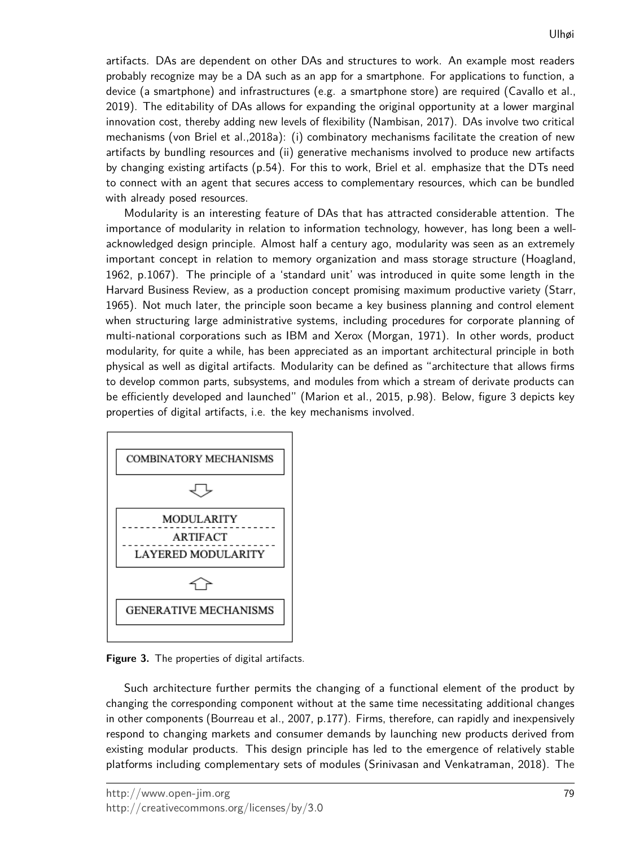artifacts. DAs are dependent on other DAs and structures to work. An example most readers probably recognize may be a DA such as an app for a smartphone. For applications to function, a device (a smartphone) and infrastructures (e.g. a smartphone store) are required (Cavallo et al., 2019). The editability of DAs allows for expanding the original opportunity at a lower marginal innovation cost, thereby adding new levels of flexibility (Nambisan, 2017). DAs involve two critical mechanisms (von Briel et al.,2018a): (i) combinatory mechanisms facilitate the creation of new artifacts by bundling resources and (ii) generative mechanisms involved to produce new artifacts by changing existing artifacts (p.54). For this to work, Briel et al. emphasize that the DTs need to connect with an agent that secures access to complementary resources, which can be bundled with already posed resources.

Modularity is an interesting feature of DAs that has attracted considerable attention. The importance of modularity in relation to information technology, however, has long been a wellacknowledged design principle. Almost half a century ago, modularity was seen as an extremely important concept in relation to memory organization and mass storage structure (Hoagland, 1962, p.1067). The principle of a 'standard unit' was introduced in quite some length in the Harvard Business Review, as a production concept promising maximum productive variety (Starr, 1965). Not much later, the principle soon became a key business planning and control element when structuring large administrative systems, including procedures for corporate planning of multi-national corporations such as IBM and Xerox (Morgan, 1971). In other words, product modularity, for quite a while, has been appreciated as an important architectural principle in both physical as well as digital artifacts. Modularity can be defined as "architecture that allows firms to develop common parts, subsystems, and modules from which a stream of derivate products can be efficiently developed and launched" (Marion et al., 2015, p.98). Below, figure 3 depicts key properties of digital artifacts, i.e. the key mechanisms involved.



**Figure 3.** The properties of digital artifacts.

Such architecture further permits the changing of a functional element of the product by changing the corresponding component without at the same time necessitating additional changes in other components (Bourreau et al., 2007, p.177). Firms, therefore, can rapidly and inexpensively respond to changing markets and consumer demands by launching new products derived from existing modular products. This design principle has led to the emergence of relatively stable platforms including complementary sets of modules (Srinivasan and Venkatraman, 2018). The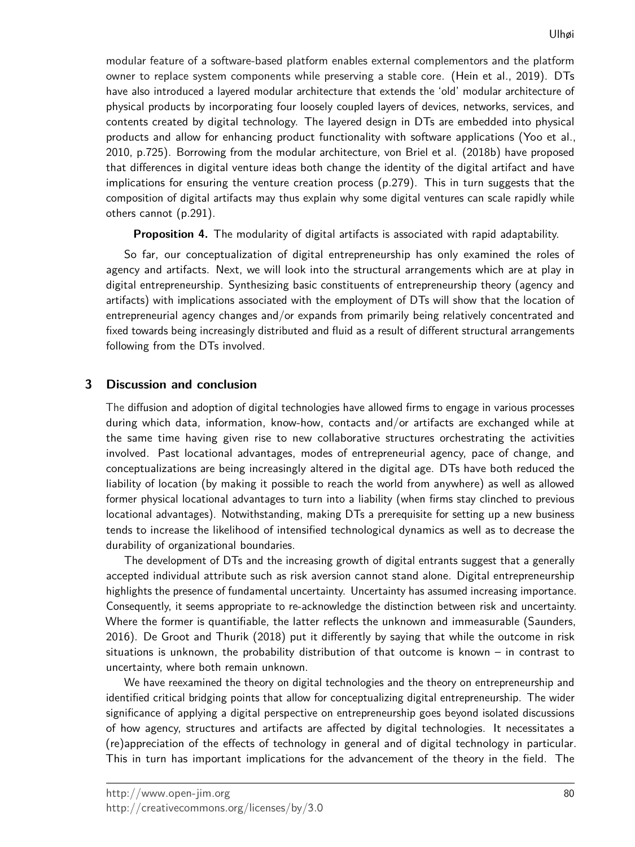modular feature of a software-based platform enables external complementors and the platform owner to replace system components while preserving a stable core. (Hein et al., 2019). DTs have also introduced a layered modular architecture that extends the 'old' modular architecture of physical products by incorporating four loosely coupled layers of devices, networks, services, and contents created by digital technology. The layered design in DTs are embedded into physical products and allow for enhancing product functionality with software applications (Yoo et al., 2010, p.725). Borrowing from the modular architecture, von Briel et al. (2018b) have proposed that differences in digital venture ideas both change the identity of the digital artifact and have implications for ensuring the venture creation process (p.279). This in turn suggests that the composition of digital artifacts may thus explain why some digital ventures can scale rapidly while others cannot (p.291).

**Proposition 4.** The modularity of digital artifacts is associated with rapid adaptability.

So far, our conceptualization of digital entrepreneurship has only examined the roles of agency and artifacts. Next, we will look into the structural arrangements which are at play in digital entrepreneurship. Synthesizing basic constituents of entrepreneurship theory (agency and artifacts) with implications associated with the employment of DTs will show that the location of entrepreneurial agency changes and/or expands from primarily being relatively concentrated and fixed towards being increasingly distributed and fluid as a result of different structural arrangements following from the DTs involved.

#### **3 Discussion and conclusion**

The diffusion and adoption of digital technologies have allowed firms to engage in various processes during which data, information, know-how, contacts and/or artifacts are exchanged while at the same time having given rise to new collaborative structures orchestrating the activities involved. Past locational advantages, modes of entrepreneurial agency, pace of change, and conceptualizations are being increasingly altered in the digital age. DTs have both reduced the liability of location (by making it possible to reach the world from anywhere) as well as allowed former physical locational advantages to turn into a liability (when firms stay clinched to previous locational advantages). Notwithstanding, making DTs a prerequisite for setting up a new business tends to increase the likelihood of intensified technological dynamics as well as to decrease the durability of organizational boundaries.

The development of DTs and the increasing growth of digital entrants suggest that a generally accepted individual attribute such as risk aversion cannot stand alone. Digital entrepreneurship highlights the presence of fundamental uncertainty. Uncertainty has assumed increasing importance. Consequently, it seems appropriate to re-acknowledge the distinction between risk and uncertainty. Where the former is quantifiable, the latter reflects the unknown and immeasurable (Saunders, 2016). De Groot and Thurik (2018) put it differently by saying that while the outcome in risk situations is unknown, the probability distribution of that outcome is known – in contrast to uncertainty, where both remain unknown.

We have reexamined the theory on digital technologies and the theory on entrepreneurship and identified critical bridging points that allow for conceptualizing digital entrepreneurship. The wider significance of applying a digital perspective on entrepreneurship goes beyond isolated discussions of how agency, structures and artifacts are affected by digital technologies. It necessitates a (re)appreciation of the effects of technology in general and of digital technology in particular. This in turn has important implications for the advancement of the theory in the field. The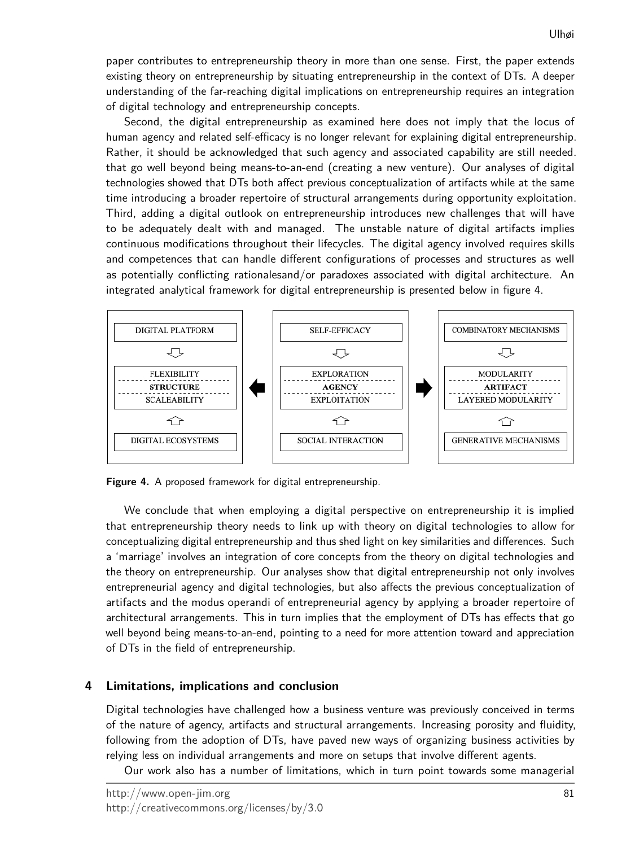paper contributes to entrepreneurship theory in more than one sense. First, the paper extends existing theory on entrepreneurship by situating entrepreneurship in the context of DTs. A deeper understanding of the far-reaching digital implications on entrepreneurship requires an integration of digital technology and entrepreneurship concepts.

Second, the digital entrepreneurship as examined here does not imply that the locus of human agency and related self-efficacy is no longer relevant for explaining digital entrepreneurship. Rather, it should be acknowledged that such agency and associated capability are still needed. that go well beyond being means-to-an-end (creating a new venture). Our analyses of digital technologies showed that DTs both affect previous conceptualization of artifacts while at the same time introducing a broader repertoire of structural arrangements during opportunity exploitation. Third, adding a digital outlook on entrepreneurship introduces new challenges that will have to be adequately dealt with and managed. The unstable nature of digital artifacts implies continuous modifications throughout their lifecycles. The digital agency involved requires skills and competences that can handle different configurations of processes and structures as well as potentially conflicting rationalesand/or paradoxes associated with digital architecture. An integrated analytical framework for digital entrepreneurship is presented below in figure 4.



**Figure 4.** A proposed framework for digital entrepreneurship.

We conclude that when employing a digital perspective on entrepreneurship it is implied that entrepreneurship theory needs to link up with theory on digital technologies to allow for conceptualizing digital entrepreneurship and thus shed light on key similarities and differences. Such a 'marriage' involves an integration of core concepts from the theory on digital technologies and the theory on entrepreneurship. Our analyses show that digital entrepreneurship not only involves entrepreneurial agency and digital technologies, but also affects the previous conceptualization of artifacts and the modus operandi of entrepreneurial agency by applying a broader repertoire of architectural arrangements. This in turn implies that the employment of DTs has effects that go well beyond being means-to-an-end, pointing to a need for more attention toward and appreciation of DTs in the field of entrepreneurship.

## **4 Limitations, implications and conclusion**

Digital technologies have challenged how a business venture was previously conceived in terms of the nature of agency, artifacts and structural arrangements. Increasing porosity and fluidity, following from the adoption of DTs, have paved new ways of organizing business activities by relying less on individual arrangements and more on setups that involve different agents.

Our work also has a number of limitations, which in turn point towards some managerial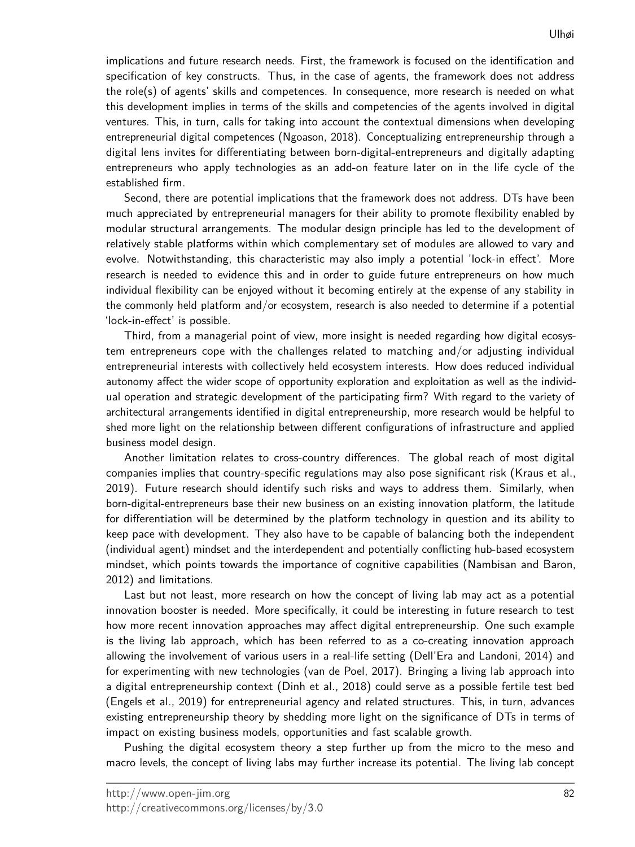implications and future research needs. First, the framework is focused on the identification and specification of key constructs. Thus, in the case of agents, the framework does not address the role(s) of agents' skills and competences. In consequence, more research is needed on what this development implies in terms of the skills and competencies of the agents involved in digital ventures. This, in turn, calls for taking into account the contextual dimensions when developing entrepreneurial digital competences (Ngoason, 2018). Conceptualizing entrepreneurship through a digital lens invites for differentiating between born-digital-entrepreneurs and digitally adapting entrepreneurs who apply technologies as an add-on feature later on in the life cycle of the established firm.

Second, there are potential implications that the framework does not address. DTs have been much appreciated by entrepreneurial managers for their ability to promote flexibility enabled by modular structural arrangements. The modular design principle has led to the development of relatively stable platforms within which complementary set of modules are allowed to vary and evolve. Notwithstanding, this characteristic may also imply a potential 'lock-in effect'. More research is needed to evidence this and in order to guide future entrepreneurs on how much individual flexibility can be enjoyed without it becoming entirely at the expense of any stability in the commonly held platform and/or ecosystem, research is also needed to determine if a potential 'lock-in-effect' is possible.

Third, from a managerial point of view, more insight is needed regarding how digital ecosystem entrepreneurs cope with the challenges related to matching and/or adjusting individual entrepreneurial interests with collectively held ecosystem interests. How does reduced individual autonomy affect the wider scope of opportunity exploration and exploitation as well as the individual operation and strategic development of the participating firm? With regard to the variety of architectural arrangements identified in digital entrepreneurship, more research would be helpful to shed more light on the relationship between different configurations of infrastructure and applied business model design.

Another limitation relates to cross-country differences. The global reach of most digital companies implies that country-specific regulations may also pose significant risk (Kraus et al., 2019). Future research should identify such risks and ways to address them. Similarly, when born-digital-entrepreneurs base their new business on an existing innovation platform, the latitude for differentiation will be determined by the platform technology in question and its ability to keep pace with development. They also have to be capable of balancing both the independent (individual agent) mindset and the interdependent and potentially conflicting hub-based ecosystem mindset, which points towards the importance of cognitive capabilities (Nambisan and Baron, 2012) and limitations.

Last but not least, more research on how the concept of living lab may act as a potential innovation booster is needed. More specifically, it could be interesting in future research to test how more recent innovation approaches may affect digital entrepreneurship. One such example is the living lab approach, which has been referred to as a co-creating innovation approach allowing the involvement of various users in a real-life setting (Dell'Era and Landoni, 2014) and for experimenting with new technologies (van de Poel, 2017). Bringing a living lab approach into a digital entrepreneurship context (Dinh et al., 2018) could serve as a possible fertile test bed (Engels et al., 2019) for entrepreneurial agency and related structures. This, in turn, advances existing entrepreneurship theory by shedding more light on the significance of DTs in terms of impact on existing business models, opportunities and fast scalable growth.

Pushing the digital ecosystem theory a step further up from the micro to the meso and macro levels, the concept of living labs may further increase its potential. The living lab concept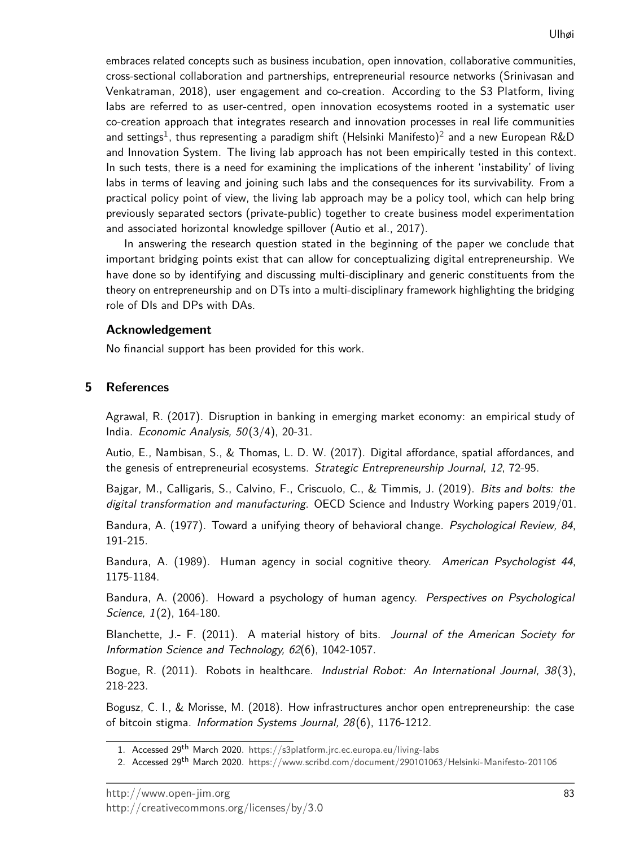embraces related concepts such as business incubation, open innovation, collaborative communities, cross-sectional collaboration and partnerships, entrepreneurial resource networks (Srinivasan and Venkatraman, 2018), user engagement and co-creation. According to the S3 Platform, living labs are referred to as user-centred, open innovation ecosystems rooted in a systematic user co-creation approach that integrates research and innovation processes in real life communities and settings $^1$  $^1$ , thus representing a paradigm shift (Helsinki Manifesto) $^2$  $^2$  and a new European R&D and Innovation System. The living lab approach has not been empirically tested in this context. In such tests, there is a need for examining the implications of the inherent 'instability' of living labs in terms of leaving and joining such labs and the consequences for its survivability. From a practical policy point of view, the living lab approach may be a policy tool, which can help bring previously separated sectors (private-public) together to create business model experimentation and associated horizontal knowledge spillover (Autio et al., 2017).

In answering the research question stated in the beginning of the paper we conclude that important bridging points exist that can allow for conceptualizing digital entrepreneurship. We have done so by identifying and discussing multi-disciplinary and generic constituents from the theory on entrepreneurship and on DTs into a multi-disciplinary framework highlighting the bridging role of DIs and DPs with DAs.

#### **Acknowledgement**

No financial support has been provided for this work.

## **5 References**

Agrawal, R. (2017). Disruption in banking in emerging market economy: an empirical study of India. Economic Analysis, 50(3/4), 20-31.

Autio, E., Nambisan, S., & Thomas, L. D. W. (2017). Digital affordance, spatial affordances, and the genesis of entrepreneurial ecosystems. Strategic Entrepreneurship Journal, 12, 72-95.

Bajgar, M., Calligaris, S., Calvino, F., Criscuolo, C., & Timmis, J. (2019). Bits and bolts: the digital transformation and manufacturing. OECD Science and Industry Working papers 2019/01.

Bandura, A. (1977). Toward a unifying theory of behavioral change. Psychological Review, 84, 191-215.

Bandura, A. (1989). Human agency in social cognitive theory. American Psychologist 44, 1175-1184.

Bandura, A. (2006). Howard a psychology of human agency. Perspectives on Psychological Science, 1(2), 164-180.

Blanchette, J.- F. (2011). A material history of bits. Journal of the American Society for Information Science and Technology, 62(6), 1042-1057.

Bogue, R. (2011). Robots in healthcare. Industrial Robot: An International Journal, 38(3), 218-223.

Bogusz, C. I., & Morisse, M. (2018). How infrastructures anchor open entrepreneurship: the case of bitcoin stigma. Information Systems Journal, 28(6), 1176-1212.

<span id="page-12-0"></span><sup>1.</sup> Accessed 29<sup>th</sup> March 2020. https://s3[platform.jrc.ec.europa.eu/living-labs](https://s3platform.jrc.ec.europa.eu/living-labs)

<span id="page-12-1"></span><sup>2.</sup> Accessed 29<sup>th</sup> March 2020. [https://www.scribd.com/document/](https://www.scribd.com/document/290101063/Helsinki-Manifesto-201106)290101063/Helsinki-Manifesto-201106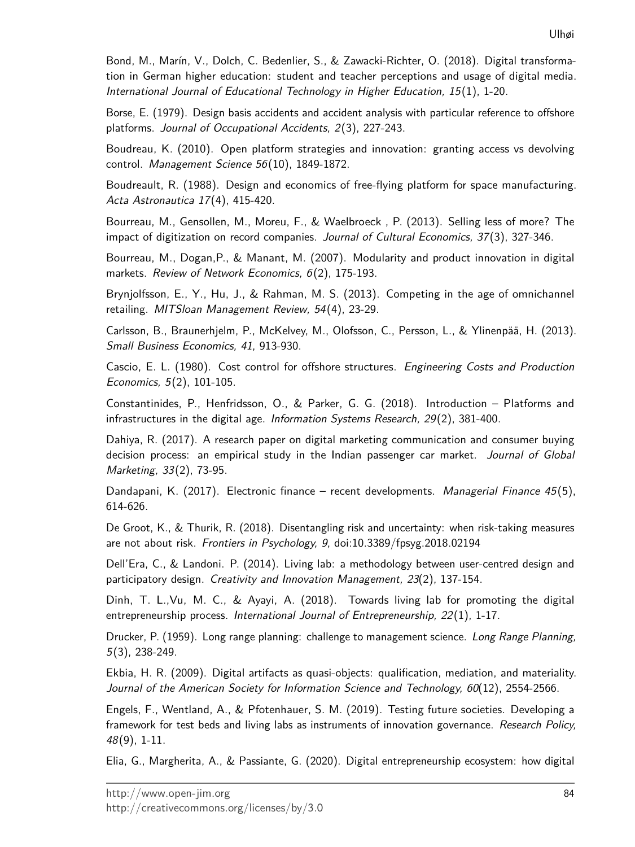Bond, M., Marín, V., Dolch, C. Bedenlier, S., & Zawacki-Richter, O. (2018). Digital transformation in German higher education: student and teacher perceptions and usage of digital media. International Journal of Educational Technology in Higher Education, 15 (1), 1-20.

Borse, E. (1979). Design basis accidents and accident analysis with particular reference to offshore platforms. Journal of Occupational Accidents,  $2(3)$ , 227-243.

Boudreau, K. (2010). Open platform strategies and innovation: granting access vs devolving control. Management Science 56(10), 1849-1872.

Boudreault, R. (1988). Design and economics of free-flying platform for space manufacturing. Acta Astronautica 17(4), 415-420.

Bourreau, M., Gensollen, M., Moreu, F., & Waelbroeck , P. (2013). Selling less of more? The impact of digitization on record companies. Journal of Cultural Economics, 37(3), 327-346.

Bourreau, M., Dogan,P., & Manant, M. (2007). Modularity and product innovation in digital markets. Review of Network Economics, 6(2), 175-193.

Brynjolfsson, E., Y., Hu, J., & Rahman, M. S. (2013). Competing in the age of omnichannel retailing. MITSloan Management Review, 54(4), 23-29.

Carlsson, B., Braunerhjelm, P., McKelvey, M., Olofsson, C., Persson, L., & Ylinenpää, H. (2013). Small Business Economics, 41, 913-930.

Cascio, E. L. (1980). Cost control for offshore structures. Engineering Costs and Production Economics, 5(2), 101-105.

Constantinides, P., Henfridsson, O., & Parker, G. G. (2018). Introduction – Platforms and infrastructures in the digital age. Information Systems Research, 29(2), 381-400.

Dahiya, R. (2017). A research paper on digital marketing communication and consumer buying decision process: an empirical study in the Indian passenger car market. Journal of Global Marketing, 33(2), 73-95.

Dandapani, K.  $(2017)$ . Electronic finance – recent developments. *Managerial Finance 45*(5), 614-626.

De Groot, K., & Thurik, R. (2018). Disentangling risk and uncertainty: when risk-taking measures are not about risk. Frontiers in Psychology, 9, doi:10.3389/fpsyg.2018.02194

Dell'Era, C., & Landoni. P. (2014). Living lab: a methodology between user-centred design and participatory design. Creativity and Innovation Management, 23(2), 137-154.

Dinh, T. L.,Vu, M. C., & Ayayi, A. (2018). Towards living lab for promoting the digital entrepreneurship process. International Journal of Entrepreneurship,  $22(1)$ , 1-17.

Drucker, P. (1959). Long range planning: challenge to management science. Long Range Planning, 5(3), 238-249.

Ekbia, H. R. (2009). Digital artifacts as quasi-objects: qualification, mediation, and materiality. Journal of the American Society for Information Science and Technology, 60(12), 2554-2566.

Engels, F., Wentland, A., & Pfotenhauer, S. M. (2019). Testing future societies. Developing a framework for test beds and living labs as instruments of innovation governance. Research Policy, 48(9), 1-11.

Elia, G., Margherita, A., & Passiante, G. (2020). Digital entrepreneurship ecosystem: how digital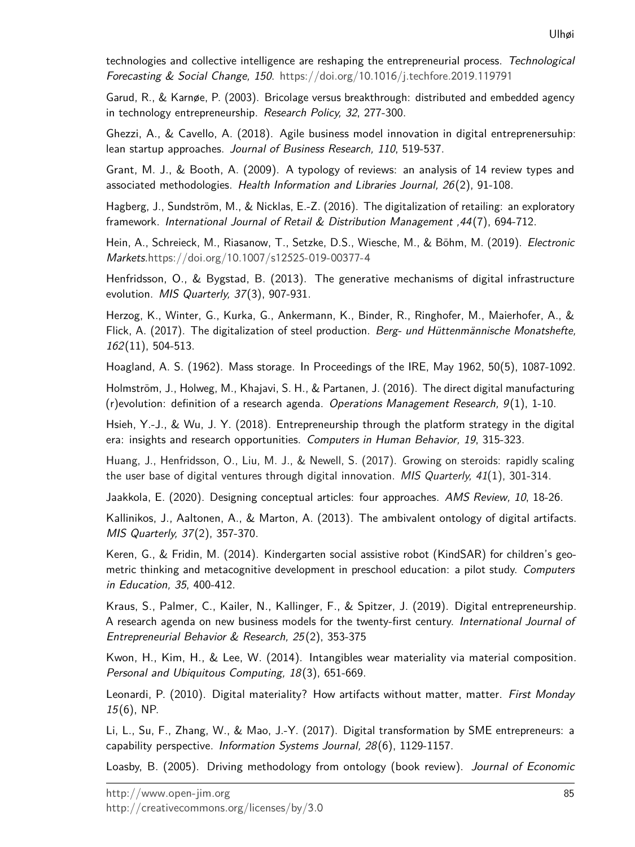technologies and collective intelligence are reshaping the entrepreneurial process. Technological Forecasting & Social Change, 150. [https://doi.org/](https://doi.org/10.1016/j.techfore.2019.119791)10.1016/j.techfore.2019.119791

Garud, R., & Karnøe, P. (2003). Bricolage versus breakthrough: distributed and embedded agency in technology entrepreneurship. Research Policy, 32, 277-300.

Ghezzi, A., & Cavello, A. (2018). Agile business model innovation in digital entreprenersuhip: lean startup approaches. Journal of Business Research, 110, 519-537.

Grant, M. J., & Booth, A. (2009). A typology of reviews: an analysis of 14 review types and associated methodologies. Health Information and Libraries Journal, 26 (2), 91-108.

Hagberg, J., Sundström, M., & Nicklas, E.-Z. (2016). The digitalization of retailing: an exploratory framework. International Journal of Retail & Distribution Management ,44 (7), 694-712.

Hein, A., Schreieck, M., Riasanow, T., Setzke, D.S., Wiesche, M., & Böhm, M. (2019). Electronic Markets.[https://doi.org/](https://doi.org/10.1007/s12525-019-00377-4)10.1007/s12525-019-00377-4

Henfridsson, O., & Bygstad, B. (2013). The generative mechanisms of digital infrastructure evolution. MIS Quarterly, 37(3), 907-931.

Herzog, K., Winter, G., Kurka, G., Ankermann, K., Binder, R., Ringhofer, M., Maierhofer, A., & Flick, A. (2017). The digitalization of steel production. Berg- und Hüttenmännische Monatshefte, 162(11), 504-513.

Hoagland, A. S. (1962). Mass storage. In Proceedings of the IRE, May 1962, 50(5), 1087-1092.

Holmström, J., Holweg, M., Khajavi, S. H., & Partanen, J. (2016). The direct digital manufacturing (r)evolution: definition of a research agenda. Operations Management Research,  $9(1)$ , 1-10.

Hsieh, Y.-J., & Wu, J. Y. (2018). Entrepreneurship through the platform strategy in the digital era: insights and research opportunities. Computers in Human Behavior, 19, 315-323.

Huang, J., Henfridsson, O., Liu, M. J., & Newell, S. (2017). Growing on steroids: rapidly scaling the user base of digital ventures through digital innovation. MIS Quarterly,  $41(1)$ , 301-314.

Jaakkola, E. (2020). Designing conceptual articles: four approaches. AMS Review, 10, 18-26.

Kallinikos, J., Aaltonen, A., & Marton, A. (2013). The ambivalent ontology of digital artifacts. MIS Quarterly, 37(2), 357-370.

Keren, G., & Fridin, M. (2014). Kindergarten social assistive robot (KindSAR) for children's geometric thinking and metacognitive development in preschool education: a pilot study. Computers in Education, 35, 400-412.

Kraus, S., Palmer, C., Kailer, N., Kallinger, F., & Spitzer, J. (2019). Digital entrepreneurship. A research agenda on new business models for the twenty-first century. International Journal of Entrepreneurial Behavior & Research, 25 (2), 353-375

Kwon, H., Kim, H., & Lee, W. (2014). Intangibles wear materiality via material composition. Personal and Ubiquitous Computing, 18(3), 651-669.

Leonardi, P. (2010). Digital materiality? How artifacts without matter, matter. First Monday  $15(6)$ , NP.

Li, L., Su, F., Zhang, W., & Mao, J.-Y. (2017). Digital transformation by SME entrepreneurs: a capability perspective. Information Systems Journal, 28(6), 1129-1157.

Loasby, B. (2005). Driving methodology from ontology (book review). Journal of Economic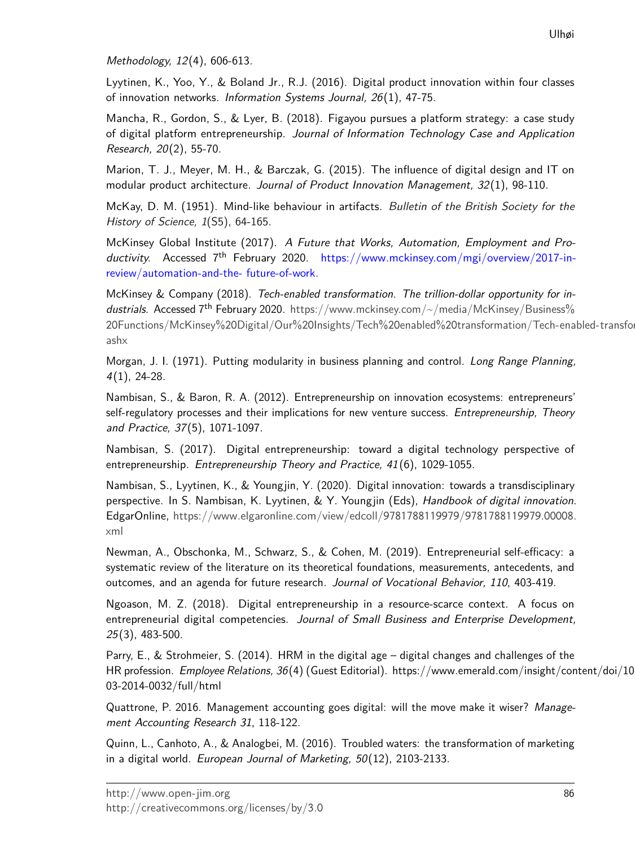Methodology, 12(4), 606-613.

Lyytinen, K., Yoo, Y., & Boland Jr., R.J. (2016). Digital product innovation within four classes of innovation networks. Information Systems Journal, 26(1), 47-75.

Mancha, R., Gordon, S., & Lyer, B. (2018). Figayou pursues a platform strategy: a case study of digital platform entrepreneurship. Journal of Information Technology Case and Application Research, 20(2), 55-70.

Marion, T. J., Meyer, M. H., & Barczak, G. (2015). The influence of digital design and IT on modular product architecture. Journal of Product Innovation Management,  $32(1)$ , 98-110.

McKay, D. M. (1951). Mind-like behaviour in artifacts. Bulletin of the British Society for the History of Science, 1(S5), 64-165.

McKinsey Global Institute (2017). A Future that Works, Automation, Employment and Productivity. Accessed  $7<sup>th</sup>$  February 2020. https://www.mckinsey.com/mgi/overview/2017-inreview/automation-and-the- future-of-work.

McKinsey & Company (2018). Tech-enabled transformation. The trillion-dollar opportunity for industrials. Accessed  $7<sup>th</sup>$  February 2020. https://www.mckinsey.com/ $\sim$ /media/McKinsey/Business% 20Functions/McKinsey%20Digital/Our%20Insights/Tech%20enabled%20[transformation/Tech-ena](https://www.mckinsey.com/~/media/McKinsey/Business%20Functions/McKinsey%20Digital/Our%20Insights/Tech%20enabled%20transformation/Tech-enabled-transformation-The-trillion-dollar-opportunity-for-industrials.ashx)bled-transfor [ashx](https://www.mckinsey.com/~/media/McKinsey/Business%20Functions/McKinsey%20Digital/Our%20Insights/Tech%20enabled%20transformation/Tech-enabled-transformation-The-trillion-dollar-opportunity-for-industrials.ashx)

Morgan, J. I. (1971). Putting modularity in business planning and control. Long Range Planning, 4(1), 24-28.

Nambisan, S., & Baron, R. A. (2012). Entrepreneurship on innovation ecosystems: entrepreneurs' self-regulatory processes and their implications for new venture success. Entrepreneurship, Theory and Practice, 37(5), 1071-1097.

Nambisan, S. (2017). Digital entrepreneurship: toward a digital technology perspective of entrepreneurship. Entrepreneurship Theory and Practice, 41(6), 1029-1055.

Nambisan, S., Lyytinen, K., & Youngjin, Y. (2020). Digital innovation: towards a transdisciplinary perspective. In S. Nambisan, K. Lyytinen, & Y. Youngjin (Eds), Handbook of digital innovation. EdgarOnline, [https://www.elgaronline.com/view/edcoll/](https://www.elgaronline.com/view/edcoll/9781788119979/9781788119979.00008.xml)9781788119979/9781788119979.00008. [xml](https://www.elgaronline.com/view/edcoll/9781788119979/9781788119979.00008.xml)

Newman, A., Obschonka, M., Schwarz, S., & Cohen, M. (2019). Entrepreneurial self-efficacy: a systematic review of the literature on its theoretical foundations, measurements, antecedents, and outcomes, and an agenda for future research. Journal of Vocational Behavior, 110, 403-419.

Ngoason, M. Z. (2018). Digital entrepreneurship in a resource-scarce context. A focus on entrepreneurial digital competencies. Journal of Small Business and Enterprise Development, 25(3), 483-500.

Parry, E., & Strohmeier, S. (2014). HRM in the digital age – digital changes and challenges of the HR profession. Employee Relations, 36(4) (Guest Editorial). https://www.emerald.com/insight/content/doi/10 03-2014-0032/full/html

Quattrone, P. 2016. Management accounting goes digital: will the move make it wiser? Management Accounting Research 31, 118-122.

Quinn, L., Canhoto, A., & Analogbei, M. (2016). Troubled waters: the transformation of marketing in a digital world. European Journal of Marketing, 50(12), 2103-2133.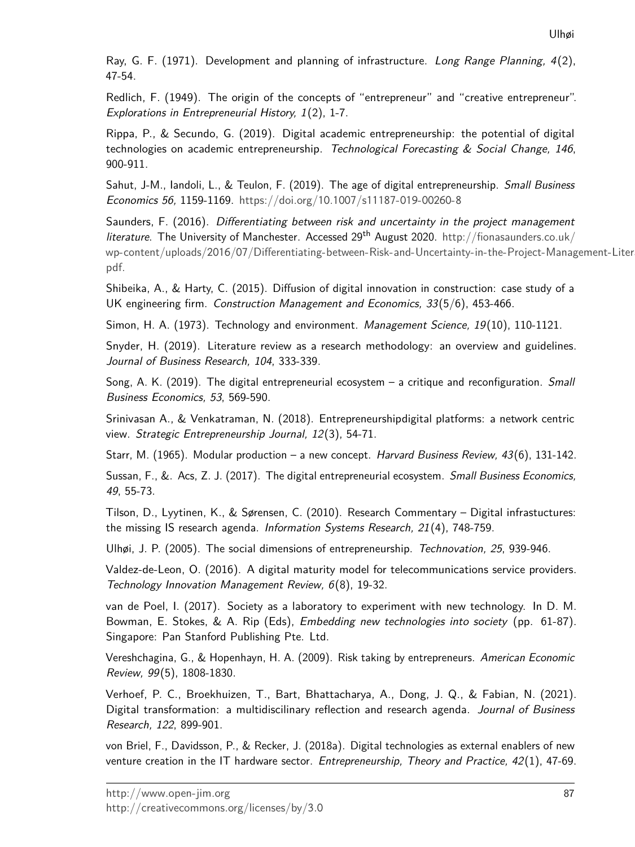Ray, G. F. (1971). Development and planning of infrastructure. Long Range Planning, 4(2), 47-54.

Redlich, F. (1949). The origin of the concepts of "entrepreneur" and "creative entrepreneur". Explorations in Entrepreneurial History, 1(2), 1-7.

Rippa, P., & Secundo, G. (2019). Digital academic entrepreneurship: the potential of digital technologies on academic entrepreneurship. Technological Forecasting  $\&$  Social Change, 146, 900-911.

Sahut, J-M., Iandoli, L., & Teulon, F. (2019). The age of digital entrepreneurship. Small Business Economics 56, 1159-1169. [https://doi.org/](https://doi.org/10.1007/s11187-019-00260-8)10.1007/s11187-019-00260-8

Saunders, F. (2016). Differentiating between risk and uncertainty in the project management literature. The University of Manchester. Accessed 29<sup>th</sup> August 2020. [http://fionasaunders.co.uk/](http://fionasaunders.co.uk/wp-content/uploads/2016/07/Differentiating-between-Risk-and-Uncertainty-in-the-Project-Management-Literature.pdf.) wp-content/uploads/2016/07[/Differentiating-between-Risk-and-Uncertainty-in-the-Project-Manag](http://fionasaunders.co.uk/wp-content/uploads/2016/07/Differentiating-between-Risk-and-Uncertainty-in-the-Project-Management-Literature.pdf.)ement-Liter [pdf.](http://fionasaunders.co.uk/wp-content/uploads/2016/07/Differentiating-between-Risk-and-Uncertainty-in-the-Project-Management-Literature.pdf.)

Shibeika, A., & Harty, C. (2015). Diffusion of digital innovation in construction: case study of a UK engineering firm. Construction Management and Economics, 33(5/6), 453-466.

Simon, H. A.  $(1973)$ . Technology and environment. *Management Science*,  $19(10)$ ,  $110-1121$ .

Snyder, H. (2019). Literature review as a research methodology: an overview and guidelines. Journal of Business Research, 104, 333-339.

Song, A. K. (2019). The digital entrepreneurial ecosystem  $-$  a critique and reconfiguration. Small Business Economics, 53, 569-590.

Srinivasan A., & Venkatraman, N. (2018). Entrepreneurshipdigital platforms: a network centric view. Strategic Entrepreneurship Journal, 12(3), 54-71.

Starr, M. (1965). Modular production – a new concept. Harvard Business Review, 43(6), 131-142.

Sussan, F., &. Acs, Z. J. (2017). The digital entrepreneurial ecosystem. Small Business Economics, 49, 55-73.

Tilson, D., Lyytinen, K., & Sørensen, C. (2010). Research Commentary – Digital infrastuctures: the missing IS research agenda. Information Systems Research, 21(4), 748-759.

Ulhøi, J. P. (2005). The social dimensions of entrepreneurship. Technovation, 25, 939-946.

Valdez-de-Leon, O. (2016). A digital maturity model for telecommunications service providers. Technology Innovation Management Review, 6(8), 19-32.

van de Poel, I. (2017). Society as a laboratory to experiment with new technology. In D. M. Bowman, E. Stokes, & A. Rip (Eds), Embedding new technologies into society (pp. 61-87). Singapore: Pan Stanford Publishing Pte. Ltd.

Vereshchagina, G., & Hopenhayn, H. A. (2009). Risk taking by entrepreneurs. American Economic Review, 99(5), 1808-1830.

Verhoef, P. C., Broekhuizen, T., Bart, Bhattacharya, A., Dong, J. Q., & Fabian, N. (2021). Digital transformation: a multidiscilinary reflection and research agenda. Journal of Business Research, 122, 899-901.

von Briel, F., Davidsson, P., & Recker, J. (2018a). Digital technologies as external enablers of new venture creation in the IT hardware sector. *Entrepreneurship*, Theory and Practice,  $42(1)$ , 47-69.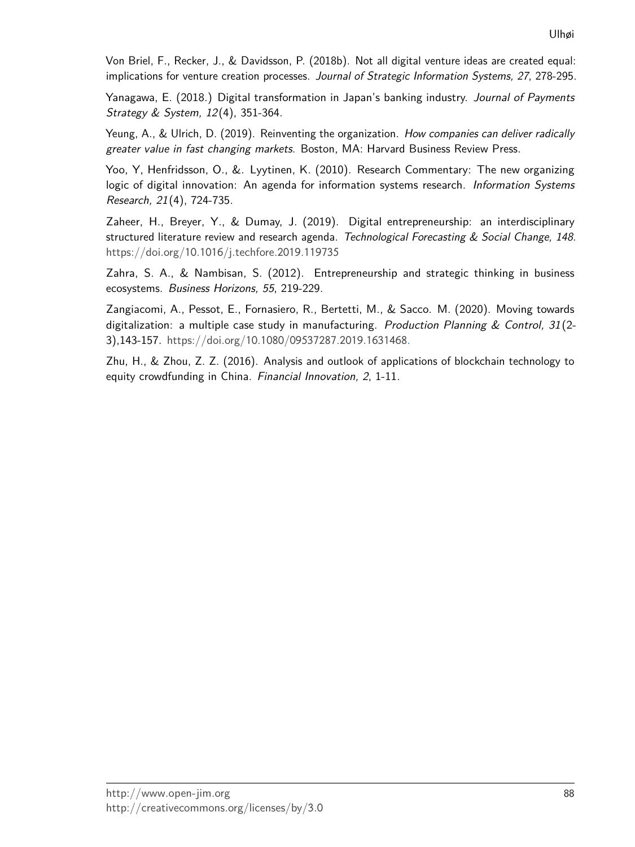Von Briel, F., Recker, J., & Davidsson, P. (2018b). Not all digital venture ideas are created equal: implications for venture creation processes. Journal of Strategic Information Systems, 27, 278-295.

Yanagawa, E. (2018.) Digital transformation in Japan's banking industry. Journal of Payments Strategy & System, 12(4), 351-364.

Yeung, A., & Ulrich, D. (2019). Reinventing the organization. How companies can deliver radically greater value in fast changing markets. Boston, MA: Harvard Business Review Press.

Yoo, Y, Henfridsson, O., &. Lyytinen, K. (2010). Research Commentary: The new organizing logic of digital innovation: An agenda for information systems research. Information Systems Research, 21(4), 724-735.

Zaheer, H., Breyer, Y., & Dumay, J. (2019). Digital entrepreneurship: an interdisciplinary structured literature review and research agenda. Technological Forecasting & Social Change, 148. [https://doi.org/](https://doi.org/10.1016/j.techfore.2019.119735)10.1016/j.techfore.2019.119735

Zahra, S. A., & Nambisan, S. (2012). Entrepreneurship and strategic thinking in business ecosystems. Business Horizons, 55, 219-229.

Zangiacomi, A., Pessot, E., Fornasiero, R., Bertetti, M., & Sacco. M. (2020). Moving towards digitalization: a multiple case study in manufacturing. Production Planning & Control,  $31(2-$ 3),143-157. [https://doi.org/](https://doi.org/10.1080/09537287.2019.1631468)10.1080/09537287.2019.1631468.

Zhu, H., & Zhou, Z. Z. (2016). Analysis and outlook of applications of blockchain technology to equity crowdfunding in China. Financial Innovation, 2, 1-11.